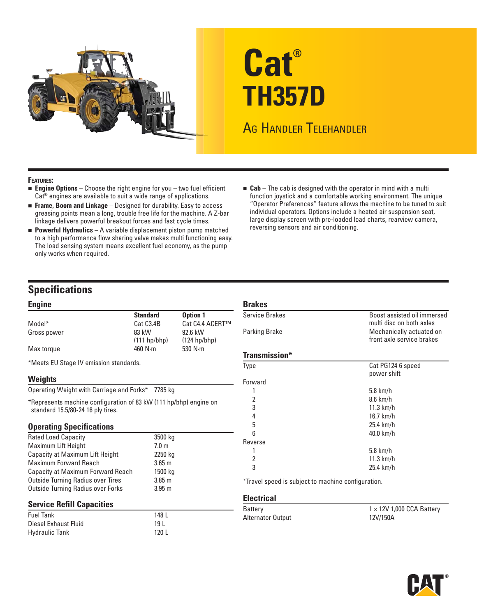

# **Cat® TH357D**

## AG HANDLER TELEHANDLER

#### **FEATURES:**

- **Engine Options** Choose the right engine for you two fuel efficient Cat® engines are available to suit a wide range of applications.
- **Frame, Boom and Linkage** Designed for durability. Easy to access greasing points mean a long, trouble free life for the machine. A Z-bar linkage delivers powerful breakout forces and fast cycle times.
- **Powerful Hydraulics** A variable displacement piston pump matched to a high performance flow sharing valve makes multi functioning easy. The load sensing system means excellent fuel economy, as the pump only works when required.
- **Cab** The cab is designed with the operator in mind with a multi function joystick and a comfortable working environment. The unique "Operator Preferences" feature allows the machine to be tuned to suit individual operators. Options include a heated air suspension seat, large display screen with pre-loaded load charts, rearview camera, reversing sensors and air conditioning.

### **Specifications**

#### **Engine**

| —…ງ…~       |                        |                 |
|-------------|------------------------|-----------------|
|             | <b>Standard</b>        | <b>Option 1</b> |
| Model*      | Cat C <sub>3</sub> .4B | Cat C4.4 ACERT™ |
| Gross power | 83 kW                  | 92.6 kW         |
|             | (111 h p/b h p)        | $(124 hp/bhp)$  |
| Max torque  | 460 $N \cdot m$        | 530 $N \cdot m$ |
|             |                        |                 |

\* Meets EU Stage IV emission standards.

#### **Weights**

Operating Weight with Carriage and Forks\* 7785 kg

\* Represents machine configuration of 83 kW (111 hp/bhp) engine on standard 15.5/80-24 16 ply tires.

#### **Operating Specifications**

| <b>Rated Load Capacity</b>               | 3500 kg          |
|------------------------------------------|------------------|
| Maximum Lift Height                      | 7.0 <sub>m</sub> |
| Capacity at Maximum Lift Height          | 2250 kg          |
| <b>Maximum Forward Reach</b>             | $3.65 \text{ m}$ |
| Capacity at Maximum Forward Reach        | 1500 kg          |
| <b>Outside Turning Radius over Tires</b> | $3.85$ m         |
| <b>Outside Turning Radius over Forks</b> | $3.95 \text{ m}$ |

#### **Service Refill Capacities**

| <b>Fuel Tank</b>      | 148   |
|-----------------------|-------|
| Diesel Exhaust Fluid  | 19 I  |
| <b>Hydraulic Tank</b> | 120 L |

| Service Brakes | Boost assisted oil immersed<br>multi disc on both axles |
|----------------|---------------------------------------------------------|
| Parking Brake  | Mechanically actuated on                                |
|                | front axle service brakes                               |
| Transmission*  |                                                         |
| <b>Type</b>    | Cat PG124 6 speed                                       |
|                | power shift                                             |
| Forward        |                                                         |
|                | $5.8$ km/h                                              |
| 2              | 8.6 km/h                                                |
| 3              | $11.3$ km/h                                             |
| 4              | 16.7 km/h                                               |
| 5              | 25.4 km/h                                               |
| 6              | 40.0 km/h                                               |
| Reverse        |                                                         |
|                | $5.8$ km/h                                              |
| 2              | $11.3$ km/h                                             |
| 3              | 25.4 km/h                                               |

**Electrical**

**Brakes**

| Battery           | $1 \times 12V$ 1,000 CCA Battery |
|-------------------|----------------------------------|
| Alternator Output | 12V/150A                         |

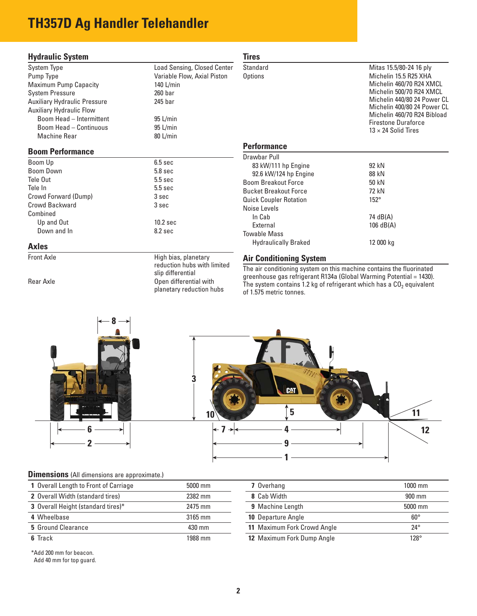## **TH357D Ag Handler Telehandler**

#### **Hydraulic System**

| System Type                         | <b>Load Sensing, Closed Center</b> |
|-------------------------------------|------------------------------------|
| Pump Type                           | Variable Flow, Axial Piston        |
| Maximum Pump Capacity               | 140 L/min                          |
| <b>System Pressure</b>              | $260$ bar                          |
| <b>Auxiliary Hydraulic Pressure</b> | 245 bar                            |
| <b>Auxiliary Hydraulic Flow</b>     |                                    |
| Boom Head - Intermittent            | 95 L/min                           |
| Boom Head - Continuous              | 95 L/min                           |
| Machine Rear                        | 80 L/min                           |
|                                     |                                    |

#### **Boom Performance**

| Boom Up              | 6.5 <sub>sec</sub>  |
|----------------------|---------------------|
| <b>Boom Down</b>     | 5.8 <sub>sec</sub>  |
| Tele Out             | $5.5$ sec           |
| Tele In              | $5.5$ sec           |
| Crowd Forward (Dump) | 3 sec               |
| Crowd Backward       | 3 sec               |
| Combined             |                     |
| Up and Out           | 10.2 <sub>sec</sub> |
| Down and In          | 8.2 <sub>sec</sub>  |

#### **Axles**

Front Axle High bias, planetary reduction hubs with limited slip differential Rear Axle **Construction Construction Construction** Open differential with planetary reduction hubs

#### **Tires** Standard Mitas 15.5/80-24 16 ply Options Michelin 15.5 R25 XHA Michelin 460/70 R24 XMCL Michelin 500/70 R24 XMCL Michelin 440/80 24 Power CL Michelin 400/80 24 Power CL Michelin 460/70 R24 Bibload Firestone Duraforce  $13 \times 24$  Solid Tires **Performance** Drawbar Pull 83 kW/111 hp Engine 92 kN 92.6 kW/124 hp Engine 88 kN Boom Breakout Force 50 kN Bucket Breakout Force 72 kN **Quick Coupler Rotation** 152° Noise Levels<br>In Cab 74 dB(A) External 106 dB(A) Towable Mass Hydraulically Braked 12 000 kg

#### **Air Conditioning System**

The air conditioning system on this machine contains the fluorinated greenhouse gas refrigerant R134a (Global Warming Potential = 1430). The system contains 1.2 kg of refrigerant which has a  $CO<sub>2</sub>$  equivalent of 1.575 metric tonnes.





#### **Dimensions** (All dimensions are approximate.)

\* Add 200 mm for beacon. Add 40 mm for top guard.

| 1 Overall Length to Front of Carriage | 5000 mm | 7 Overhang                        | 1000 mm      |
|---------------------------------------|---------|-----------------------------------|--------------|
| 2 Overall Width (standard tires)      | 2382 mm | 8 Cab Width                       | 900 mm       |
| 3 Overall Height (standard tires)*    | 2475 mm | 9 Machine Length                  | 5000 mm      |
| 4 Wheelbase                           | 3165 mm | <b>10 Departure Angle</b>         | $60^{\circ}$ |
| 5 Ground Clearance                    | 430 mm  | 11 Maximum Fork Crowd Angle       | $24^{\circ}$ |
| 6 Track                               | 1988 mm | <b>12 Maximum Fork Dump Angle</b> | $128^\circ$  |

| 7 Overhang                         | $1000$ mm           |  |
|------------------------------------|---------------------|--|
| 8 Cab Width                        | $900 \,\mathrm{mm}$ |  |
| <b>9</b> Machine Length            | 5000 mm             |  |
| <b>10 Departure Angle</b>          | $60^{\circ}$        |  |
| <b>11 Maximum Fork Crowd Angle</b> | $24^\circ$          |  |
| <b>12 Maximum Fork Dump Angle</b>  | $128^\circ$         |  |
|                                    |                     |  |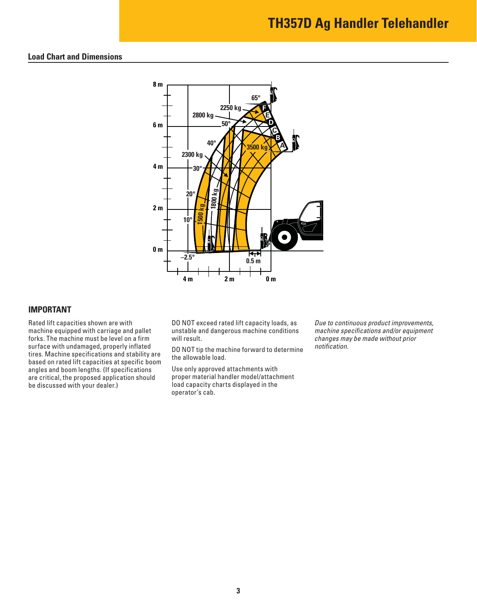## **TH357D Ag Handler Telehandler**

#### **Load Chart and Dimensions**



#### **IMPORTANT**

Rated lift capacities shown are with machine equipped with carriage and pallet forks. The machine must be level on a firm surface with undamaged, properly inflated tires. Machine specifications and stability are based on rated lift capacities at specific boom angles and boom lengths. (If specifications are critical, the proposed application should be discussed with your dealer.)

DO NOT exceed rated lift capacity loads, as unstable and dangerous machine conditions will result.

DO NOT tip the machine forward to determine the allowable load.

Use only approved attachments with proper material handler model/attachment load capacity charts displayed in the operator's cab.

Due to continuous product improvements, machine specifications and/or equipment changes may be made without prior notification.